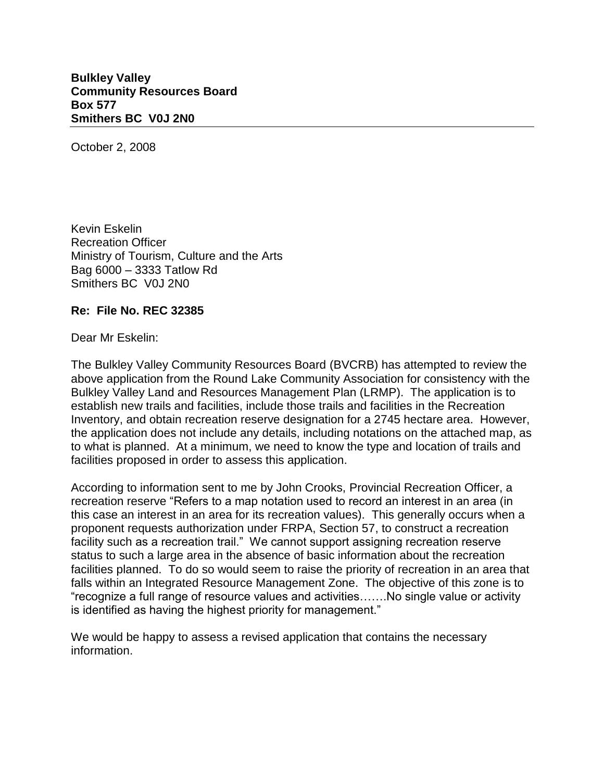**Bulkley Valley Community Resources Board Box 577 Smithers BC V0J 2N0**

October 2, 2008

Kevin Eskelin Recreation Officer Ministry of Tourism, Culture and the Arts Bag 6000 – 3333 Tatlow Rd Smithers BC V0J 2N0

## **Re: File No. REC 32385**

Dear Mr Eskelin:

The Bulkley Valley Community Resources Board (BVCRB) has attempted to review the above application from the Round Lake Community Association for consistency with the Bulkley Valley Land and Resources Management Plan (LRMP). The application is to establish new trails and facilities, include those trails and facilities in the Recreation Inventory, and obtain recreation reserve designation for a 2745 hectare area. However, the application does not include any details, including notations on the attached map, as to what is planned. At a minimum, we need to know the type and location of trails and facilities proposed in order to assess this application.

According to information sent to me by John Crooks, Provincial Recreation Officer, a recreation reserve "Refers to a map notation used to record an interest in an area (in this case an interest in an area for its recreation values). This generally occurs when a proponent requests authorization under FRPA, Section 57, to construct a recreation facility such as a recreation trail." We cannot support assigning recreation reserve status to such a large area in the absence of basic information about the recreation facilities planned. To do so would seem to raise the priority of recreation in an area that falls within an Integrated Resource Management Zone. The objective of this zone is to "recognize a full range of resource values and activities…….No single value or activity is identified as having the highest priority for management."

We would be happy to assess a revised application that contains the necessary information.